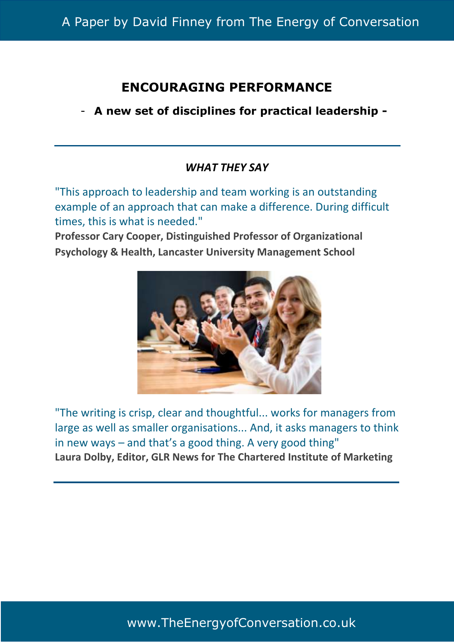# A Paper by David Finney from The Energy of Conversation

# **ENCOURAGING PERFORMANCE**

- **A new set of disciplines for practical leadership -**

# *WHAT THEY SAY*

"This approach to leadership and team working is an outstanding example of an approach that can make a difference. During difficult times, this is what is needed."

**Professor Cary Cooper, Distinguished Professor of Organizational Psychology & Health, Lancaster University Management School** 



"The writing is crisp, clear and thoughtful... works for managers from large as well as smaller organisations... And, it asks managers to think in new ways – and that's a good thing. A very good thing" **Laura Dolby, Editor, GLR News for The Chartered Institute of Marketing** 

www.TheEnergyofConversation.co.uk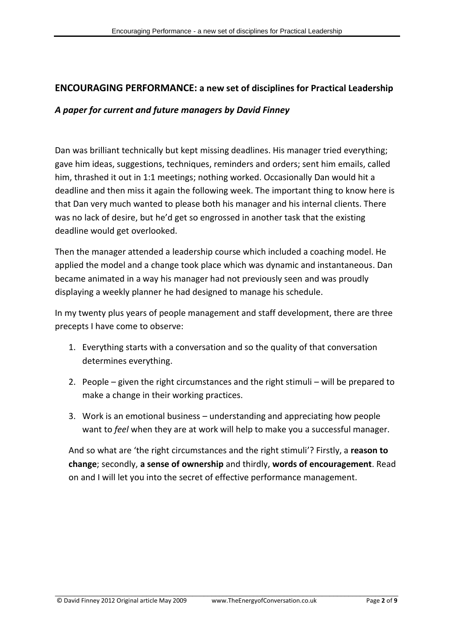# **ENCOURAGING PERFORMANCE: a new set of disciplines for Practical Leadership**

## *A paper for current and future managers by David Finney*

Dan was brilliant technically but kept missing deadlines. His manager tried everything; gave him ideas, suggestions, techniques, reminders and orders; sent him emails, called him, thrashed it out in 1:1 meetings; nothing worked. Occasionally Dan would hit a deadline and then miss it again the following week. The important thing to know here is that Dan very much wanted to please both his manager and his internal clients. There was no lack of desire, but he'd get so engrossed in another task that the existing deadline would get overlooked.

Then the manager attended a leadership course which included a coaching model. He applied the model and a change took place which was dynamic and instantaneous. Dan became animated in a way his manager had not previously seen and was proudly displaying a weekly planner he had designed to manage his schedule.

In my twenty plus years of people management and staff development, there are three precepts I have come to observe:

- 1. Everything starts with a conversation and so the quality of that conversation determines everything.
- 2. People given the right circumstances and the right stimuli will be prepared to make a change in their working practices.
- 3. Work is an emotional business understanding and appreciating how people want to *feel* when they are at work will help to make you a successful manager.

And so what are 'the right circumstances and the right stimuli'? Firstly, a **reason to change**; secondly, **a sense of ownership** and thirdly, **words of encouragement**. Read on and I will let you into the secret of effective performance management.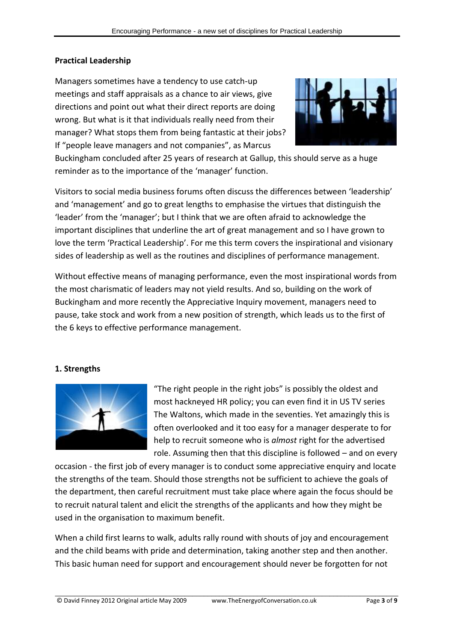#### **Practical Leadership**

Managers sometimes have a tendency to use catch-up meetings and staff appraisals as a chance to air views, give directions and point out what their direct reports are doing wrong. But what is it that individuals really need from their manager? What stops them from being fantastic at their jobs? If "people leave managers and not companies", as Marcus



Buckingham concluded after 25 years of research at Gallup, this should serve as a huge reminder as to the importance of the 'manager' function.

Visitors to social media business forums often discuss the differences between 'leadership' and 'management' and go to great lengths to emphasise the virtues that distinguish the 'leader' from the 'manager'; but I think that we are often afraid to acknowledge the important disciplines that underline the art of great management and so I have grown to love the term 'Practical Leadership'. For me this term covers the inspirational and visionary sides of leadership as well as the routines and disciplines of performance management.

Without effective means of managing performance, even the most inspirational words from the most charismatic of leaders may not yield results. And so, building on the work of Buckingham and more recently the Appreciative Inquiry movement, managers need to pause, take stock and work from a new position of strength, which leads us to the first of the 6 keys to effective performance management.

#### **1. Strengths**



"The right people in the right jobs" is possibly the oldest and most hackneyed HR policy; you can even find it in US TV series The Waltons, which made in the seventies. Yet amazingly this is often overlooked and it too easy for a manager desperate to for help to recruit someone who is *almost* right for the advertised role. Assuming then that this discipline is followed – and on every

occasion - the first job of every manager is to conduct some appreciative enquiry and locate the strengths of the team. Should those strengths not be sufficient to achieve the goals of the department, then careful recruitment must take place where again the focus should be to recruit natural talent and elicit the strengths of the applicants and how they might be used in the organisation to maximum benefit.

When a child first learns to walk, adults rally round with shouts of joy and encouragement and the child beams with pride and determination, taking another step and then another. This basic human need for support and encouragement should never be forgotten for not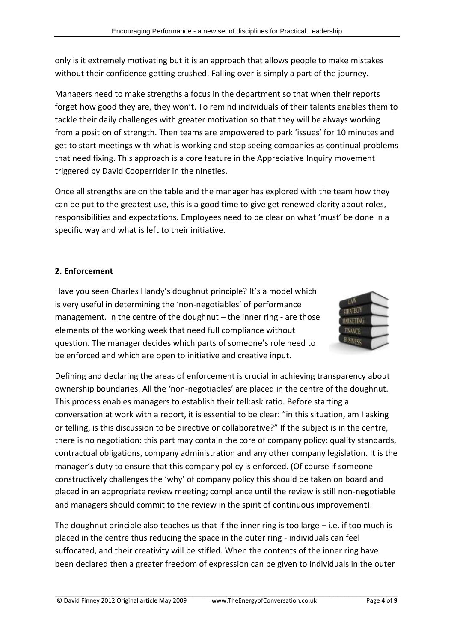only is it extremely motivating but it is an approach that allows people to make mistakes without their confidence getting crushed. Falling over is simply a part of the journey.

Managers need to make strengths a focus in the department so that when their reports forget how good they are, they won't. To remind individuals of their talents enables them to tackle their daily challenges with greater motivation so that they will be always working from a position of strength. Then teams are empowered to park 'issues' for 10 minutes and get to start meetings with what is working and stop seeing companies as continual problems that need fixing. This approach is a core feature in the Appreciative Inquiry movement triggered by David Cooperrider in the nineties.

Once all strengths are on the table and the manager has explored with the team how they can be put to the greatest use, this is a good time to give get renewed clarity about roles, responsibilities and expectations. Employees need to be clear on what 'must' be done in a specific way and what is left to their initiative.

# **2. Enforcement**

Have you seen Charles Handy's doughnut principle? It's a model which is very useful in determining the 'non-negotiables' of performance management. In the centre of the doughnut – the inner ring - are those elements of the working week that need full compliance without question. The manager decides which parts of someone's role need to be enforced and which are open to initiative and creative input.



Defining and declaring the areas of enforcement is crucial in achieving transparency about ownership boundaries. All the 'non-negotiables' are placed in the centre of the doughnut. This process enables managers to establish their tell:ask ratio. Before starting a conversation at work with a report, it is essential to be clear: "in this situation, am I asking or telling, is this discussion to be directive or collaborative?" If the subject is in the centre, there is no negotiation: this part may contain the core of company policy: quality standards, contractual obligations, company administration and any other company legislation. It is the manager's duty to ensure that this company policy is enforced. (Of course if someone constructively challenges the 'why' of company policy this should be taken on board and placed in an appropriate review meeting; compliance until the review is still non-negotiable and managers should commit to the review in the spirit of continuous improvement).

The doughnut principle also teaches us that if the inner ring is too large – i.e. if too much is placed in the centre thus reducing the space in the outer ring - individuals can feel suffocated, and their creativity will be stifled. When the contents of the inner ring have been declared then a greater freedom of expression can be given to individuals in the outer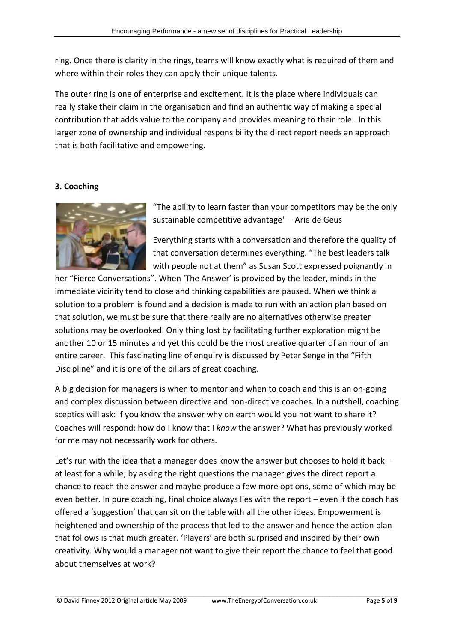ring. Once there is clarity in the rings, teams will know exactly what is required of them and where within their roles they can apply their unique talents.

The outer ring is one of enterprise and excitement. It is the place where individuals can really stake their claim in the organisation and find an authentic way of making a special contribution that adds value to the company and provides meaning to their role. In this larger zone of ownership and individual responsibility the direct report needs an approach that is both facilitative and empowering.

## **3. Coaching**



"The ability to learn faster than your competitors may be the only sustainable competitive advantage" – Arie de Geus

Everything starts with a conversation and therefore the quality of that conversation determines everything. "The best leaders talk with people not at them" as Susan Scott expressed poignantly in

her "Fierce Conversations". When 'The Answer' is provided by the leader, minds in the immediate vicinity tend to close and thinking capabilities are paused. When we think a solution to a problem is found and a decision is made to run with an action plan based on that solution, we must be sure that there really are no alternatives otherwise greater solutions may be overlooked. Only thing lost by facilitating further exploration might be another 10 or 15 minutes and yet this could be the most creative quarter of an hour of an entire career. This fascinating line of enquiry is discussed by Peter Senge in the "Fifth Discipline" and it is one of the pillars of great coaching.

A big decision for managers is when to mentor and when to coach and this is an on-going and complex discussion between directive and non-directive coaches. In a nutshell, coaching sceptics will ask: if you know the answer why on earth would you not want to share it? Coaches will respond: how do I know that I *know* the answer? What has previously worked for me may not necessarily work for others.

Let's run with the idea that a manager does know the answer but chooses to hold it back – at least for a while; by asking the right questions the manager gives the direct report a chance to reach the answer and maybe produce a few more options, some of which may be even better. In pure coaching, final choice always lies with the report – even if the coach has offered a 'suggestion' that can sit on the table with all the other ideas. Empowerment is heightened and ownership of the process that led to the answer and hence the action plan that follows is that much greater. 'Players' are both surprised and inspired by their own creativity. Why would a manager not want to give their report the chance to feel that good about themselves at work?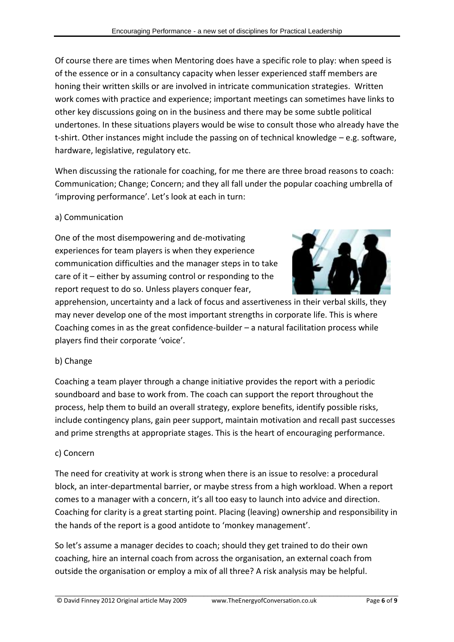Of course there are times when Mentoring does have a specific role to play: when speed is of the essence or in a consultancy capacity when lesser experienced staff members are honing their written skills or are involved in intricate communication strategies. Written work comes with practice and experience; important meetings can sometimes have links to other key discussions going on in the business and there may be some subtle political undertones. In these situations players would be wise to consult those who already have the t-shirt. Other instances might include the passing on of technical knowledge – e.g. software, hardware, legislative, regulatory etc.

When discussing the rationale for coaching, for me there are three broad reasons to coach: Communication; Change; Concern; and they all fall under the popular coaching umbrella of 'improving performance'. Let's look at each in turn:

## a) Communication

One of the most disempowering and de-motivating experiences for team players is when they experience communication difficulties and the manager steps in to take care of it – either by assuming control or responding to the report request to do so. Unless players conquer fear,



apprehension, uncertainty and a lack of focus and assertiveness in their verbal skills, they may never develop one of the most important strengths in corporate life. This is where Coaching comes in as the great confidence-builder – a natural facilitation process while players find their corporate 'voice'.

## b) Change

Coaching a team player through a change initiative provides the report with a periodic soundboard and base to work from. The coach can support the report throughout the process, help them to build an overall strategy, explore benefits, identify possible risks, include contingency plans, gain peer support, maintain motivation and recall past successes and prime strengths at appropriate stages. This is the heart of encouraging performance.

## c) Concern

The need for creativity at work is strong when there is an issue to resolve: a procedural block, an inter-departmental barrier, or maybe stress from a high workload. When a report comes to a manager with a concern, it's all too easy to launch into advice and direction. Coaching for clarity is a great starting point. Placing (leaving) ownership and responsibility in the hands of the report is a good antidote to 'monkey management'.

\_\_\_\_\_\_\_\_\_\_\_\_\_\_\_\_\_\_\_\_\_\_\_\_\_\_\_\_\_\_\_\_\_\_\_\_\_\_\_\_\_\_\_\_\_\_\_\_\_\_\_\_\_\_\_\_\_\_\_\_\_\_\_\_\_\_\_\_\_\_\_\_\_\_\_\_\_\_\_\_\_\_\_\_\_\_\_\_\_\_

So let's assume a manager decides to coach; should they get trained to do their own coaching, hire an internal coach from across the organisation, an external coach from outside the organisation or employ a mix of all three? A risk analysis may be helpful.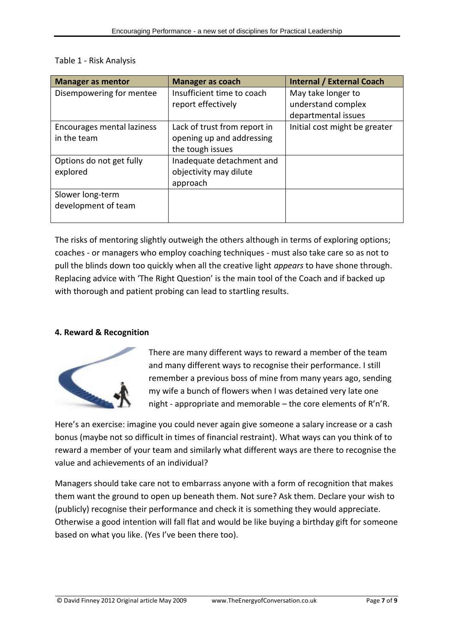| <b>Manager as mentor</b>   | <b>Manager as coach</b>      | <b>Internal / External Coach</b> |
|----------------------------|------------------------------|----------------------------------|
| Disempowering for mentee   | Insufficient time to coach   | May take longer to               |
|                            | report effectively           | understand complex               |
|                            |                              | departmental issues              |
| Encourages mental laziness | Lack of trust from report in | Initial cost might be greater    |
| in the team                | opening up and addressing    |                                  |
|                            | the tough issues             |                                  |
| Options do not get fully   | Inadequate detachment and    |                                  |
| explored                   | objectivity may dilute       |                                  |
|                            | approach                     |                                  |
| Slower long-term           |                              |                                  |
| development of team        |                              |                                  |
|                            |                              |                                  |

#### Table 1 - Risk Analysis

The risks of mentoring slightly outweigh the others although in terms of exploring options; coaches - or managers who employ coaching techniques - must also take care so as not to pull the blinds down too quickly when all the creative light *appears* to have shone through. Replacing advice with 'The Right Question' is the main tool of the Coach and if backed up with thorough and patient probing can lead to startling results.

## **4. Reward & Recognition**



There are many different ways to reward a member of the team and many different ways to recognise their performance. I still remember a previous boss of mine from many years ago, sending my wife a bunch of flowers when I was detained very late one night - appropriate and memorable – the core elements of R'n'R.

Here's an exercise: imagine you could never again give someone a salary increase or a cash bonus (maybe not so difficult in times of financial restraint). What ways can you think of to reward a member of your team and similarly what different ways are there to recognise the value and achievements of an individual?

Managers should take care not to embarrass anyone with a form of recognition that makes them want the ground to open up beneath them. Not sure? Ask them. Declare your wish to (publicly) recognise their performance and check it is something they would appreciate. Otherwise a good intention will fall flat and would be like buying a birthday gift for someone based on what you like. (Yes I've been there too).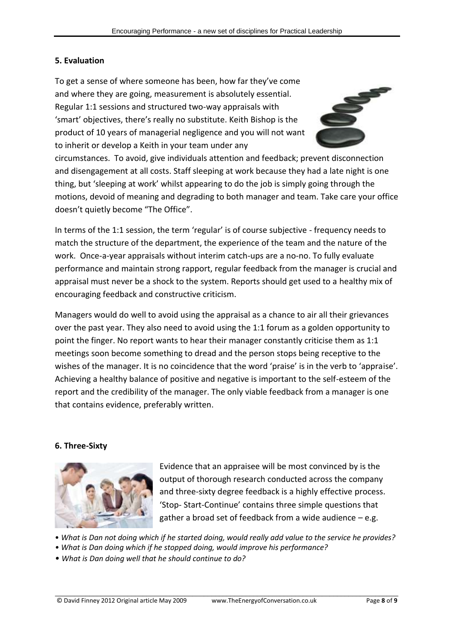## **5. Evaluation**

To get a sense of where someone has been, how far they've come and where they are going, measurement is absolutely essential. Regular 1:1 sessions and structured two-way appraisals with 'smart' objectives, there's really no substitute. Keith Bishop is the product of 10 years of managerial negligence and you will not want to inherit or develop a Keith in your team under any



circumstances. To avoid, give individuals attention and feedback; prevent disconnection and disengagement at all costs. Staff sleeping at work because they had a late night is one thing, but 'sleeping at work' whilst appearing to do the job is simply going through the motions, devoid of meaning and degrading to both manager and team. Take care your office doesn't quietly become "The Office".

In terms of the 1:1 session, the term 'regular' is of course subjective - frequency needs to match the structure of the department, the experience of the team and the nature of the work. Once-a-year appraisals without interim catch-ups are a no-no. To fully evaluate performance and maintain strong rapport, regular feedback from the manager is crucial and appraisal must never be a shock to the system. Reports should get used to a healthy mix of encouraging feedback and constructive criticism.

Managers would do well to avoid using the appraisal as a chance to air all their grievances over the past year. They also need to avoid using the 1:1 forum as a golden opportunity to point the finger. No report wants to hear their manager constantly criticise them as 1:1 meetings soon become something to dread and the person stops being receptive to the wishes of the manager. It is no coincidence that the word 'praise' is in the verb to 'appraise'. Achieving a healthy balance of positive and negative is important to the self-esteem of the report and the credibility of the manager. The only viable feedback from a manager is one that contains evidence, preferably written.

#### **6. Three-Sixty**



Evidence that an appraisee will be most convinced by is the output of thorough research conducted across the company and three-sixty degree feedback is a highly effective process. 'Stop- Start-Continue' contains three simple questions that gather a broad set of feedback from a wide audience – e.g.

• *What is Dan not doing which if he started doing, would really add value to the service he provides?*

- *What is Dan doing which if he stopped doing, would improve his performance?*
- *What is Dan doing well that he should continue to do?*